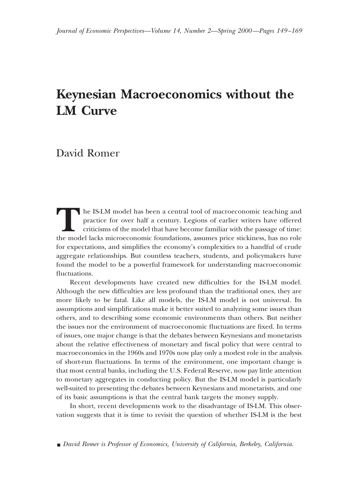# **Keynesian Macroeconomics without the LM Curve**

## David Romer

The IS-LM model has been a central tool of macroeconomic teaching and practice for over half a century. Legions of earlier writers have offered criticisms of the model that have become familiar with the passage of time: th practice for over half a century. Legions of earlier writers have offered criticisms of the model that have become familiar with the passage of time: for expectations, and simplifies the economy's complexities to a handful of crude aggregate relationships. But countless teachers, students, and policymakers have found the model to be a powerful framework for understanding macroeconomic fluctuations.

Recent developments have created new difficulties for the IS-LM model. Although the new difficulties are less profound than the traditional ones, they are more likely to be fatal. Like all models, the IS-LM model is not universal. Its assumptions and simplifications make it better suited to analyzing some issues than others, and to describing some economic environments than others. But neither the issues nor the environment of macroeconomic fluctuations are fixed. In terms of issues, one major change is that the debates between Keynesians and monetarists about the relative effectiveness of monetary and fiscal policy that were central to macroeconomics in the 1960s and 1970s now play only a modest role in the analysis of short-run fluctuations. In terms of the environment, one important change is that most central banks, including the U.S. Federal Reserve, now pay little attention to monetary aggregates in conducting policy. But the IS-LM model is particularly well-suited to presenting the debates between Keynesians and monetarists, and one of its basic assumptions is that the central bank targets the money supply.

In short, recent developments work to the disadvantage of IS-LM. This observation suggests that it is time to revisit the question of whether IS-LM is the best

y *David Romer is Professor of Economics, University of California, Berkeley, California.*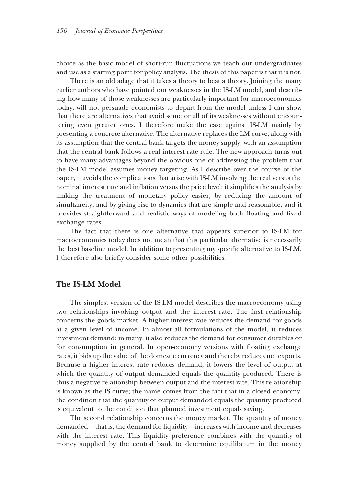choice as the basic model of short-run fluctuations we teach our undergraduates and use as a starting point for policy analysis. The thesis of this paper is that it is not.

There is an old adage that it takes a theory to beat a theory. Joining the many earlier authors who have pointed out weaknesses in the IS-LM model, and describing how many of those weaknesses are particularly important for macroeconomics today, will not persuade economists to depart from the model unless I can show that there are alternatives that avoid some or all of its weaknesses without encountering even greater ones. I therefore make the case against IS-LM mainly by presenting a concrete alternative. The alternative replaces the LM curve, along with its assumption that the central bank targets the money supply, with an assumption that the central bank follows a real interest rate rule. The new approach turns out to have many advantages beyond the obvious one of addressing the problem that the IS-LM model assumes money targeting. As I describe over the course of the paper, it avoids the complications that arise with IS-LM involving the real versus the nominal interest rate and inflation versus the price level; it simplifies the analysis by making the treatment of monetary policy easier, by reducing the amount of simultaneity, and by giving rise to dynamics that are simple and reasonable; and it provides straightforward and realistic ways of modeling both floating and fixed exchange rates.

The fact that there is one alternative that appears superior to IS-LM for macroeconomics today does not mean that this particular alternative is necessarily the best baseline model. In addition to presenting my specific alternative to IS-LM, I therefore also briefly consider some other possibilities.

## **The IS-LM Model**

The simplest version of the IS-LM model describes the macroeconomy using two relationships involving output and the interest rate. The first relationship concerns the goods market. A higher interest rate reduces the demand for goods at a given level of income. In almost all formulations of the model, it reduces investment demand; in many, it also reduces the demand for consumer durables or for consumption in general. In open-economy versions with floating exchange rates, it bids up the value of the domestic currency and thereby reduces net exports. Because a higher interest rate reduces demand, it lowers the level of output at which the quantity of output demanded equals the quantity produced. There is thus a negative relationship between output and the interest rate. This relationship is known as the IS curve; the name comes from the fact that in a closed economy, the condition that the quantity of output demanded equals the quantity produced is equivalent to the condition that planned investment equals saving.

The second relationship concerns the money market. The quantity of money demanded—that is, the demand for liquidity—increases with income and decreases with the interest rate. This liquidity preference combines with the quantity of money supplied by the central bank to determine equilibrium in the money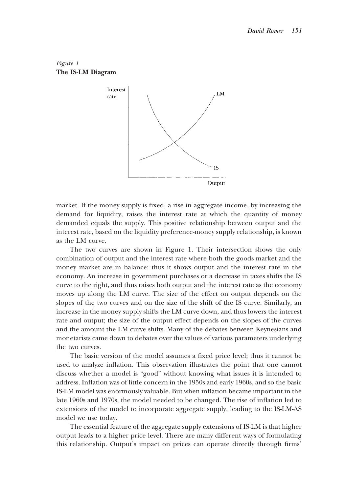## *Figure 1* **The IS-LM Diagram**



market. If the money supply is fixed, a rise in aggregate income, by increasing the demand for liquidity, raises the interest rate at which the quantity of money demanded equals the supply. This positive relationship between output and the interest rate, based on the liquidity preference-money supply relationship, is known as the LM curve.

The two curves are shown in Figure 1. Their intersection shows the only combination of output and the interest rate where both the goods market and the money market are in balance; thus it shows output and the interest rate in the economy. An increase in government purchases or a decrease in taxes shifts the IS curve to the right, and thus raises both output and the interest rate as the economy moves up along the LM curve. The size of the effect on output depends on the slopes of the two curves and on the size of the shift of the IS curve. Similarly, an increase in the money supply shifts the LM curve down, and thus lowers the interest rate and output; the size of the output effect depends on the slopes of the curves and the amount the LM curve shifts. Many of the debates between Keynesians and monetarists came down to debates over the values of various parameters underlying the two curves.

The basic version of the model assumes a fixed price level; thus it cannot be used to analyze inflation. This observation illustrates the point that one cannot discuss whether a model is "good" without knowing what issues it is intended to address. Inflation was of little concern in the 1950s and early 1960s, and so the basic IS-LM model was enormously valuable. But when inflation became important in the late 1960s and 1970s, the model needed to be changed. The rise of inflation led to extensions of the model to incorporate aggregate supply, leading to the IS-LM-AS model we use today.

The essential feature of the aggregate supply extensions of IS-LM is that higher output leads to a higher price level. There are many different ways of formulating this relationship. Output's impact on prices can operate directly through firms'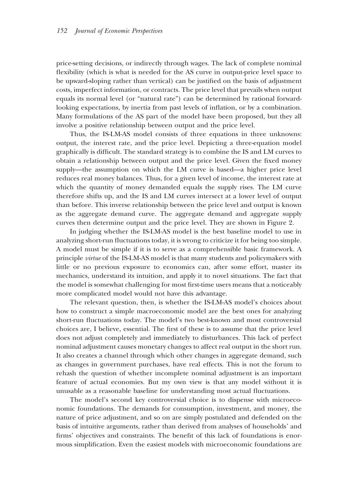price-setting decisions, or indirectly through wages. The lack of complete nominal flexibility (which is what is needed for the AS curve in output-price level space to be upward-sloping rather than vertical) can be justified on the basis of adjustment costs, imperfect information, or contracts. The price level that prevails when output equals its normal level (or "natural rate") can be determined by rational forwardlooking expectations, by inertia from past levels of inflation, or by a combination. Many formulations of the AS part of the model have been proposed, but they all involve a positive relationship between output and the price level.

Thus, the IS-LM-AS model consists of three equations in three unknowns: output, the interest rate, and the price level. Depicting a three-equation model graphically is difficult. The standard strategy is to combine the IS and LM curves to obtain a relationship between output and the price level. Given the fixed money supply—the assumption on which the LM curve is based—a higher price level reduces real money balances. Thus, for a given level of income, the interest rate at which the quantity of money demanded equals the supply rises. The LM curve therefore shifts up, and the IS and LM curves intersect at a lower level of output than before. This inverse relationship between the price level and output is known as the aggregate demand curve. The aggregate demand and aggregate supply curves then determine output and the price level. They are shown in Figure 2.

In judging whether the IS-LM-AS model is the best baseline model to use in analyzing short-run fluctuations today, it is wrong to criticize it for being too simple. A model must be simple if it is to serve as a comprehensible basic framework. A principle *virtue* of the IS-LM-AS model is that many students and policymakers with little or no previous exposure to economics can, after some effort, master its mechanics, understand its intuition, and apply it to novel situations. The fact that the model is somewhat challenging for most first-time users means that a noticeably more complicated model would not have this advantage.

The relevant question, then, is whether the IS-LM-AS model's choices about how to construct a simple macroeconomic model are the best ones for analyzing short-run fluctuations today. The model's two best-known and most controversial choices are, I believe, essential. The first of these is to assume that the price level does not adjust completely and immediately to disturbances. This lack of perfect nominal adjustment causes monetary changes to affect real output in the short run. It also creates a channel through which other changes in aggregate demand, such as changes in government purchases, have real effects. This is not the forum to rehash the question of whether incomplete nominal adjustment is an important feature of actual economies. But my own view is that any model without it is unusable as a reasonable baseline for understanding most actual fluctuations.

The model's second key controversial choice is to dispense with microeconomic foundations. The demands for consumption, investment, and money, the nature of price adjustment, and so on are simply postulated and defended on the basis of intuitive arguments, rather than derived from analyses of households' and firms' objectives and constraints. The benefit of this lack of foundations is enormous simplification. Even the easiest models with microeconomic foundations are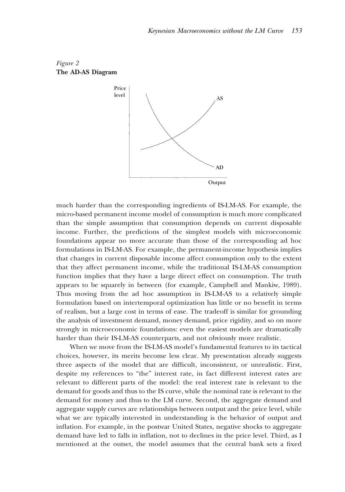## *Figure 2* **The AD-AS Diagram**



much harder than the corresponding ingredients of IS-LM-AS. For example, the micro-based permanent income model of consumption is much more complicated than the simple assumption that consumption depends on current disposable income. Further, the predictions of the simplest models with microeconomic foundations appear no more accurate than those of the corresponding ad hoc formulations in IS-LM-AS. For example, the permanent-income hypothesis implies that changes in current disposable income affect consumption only to the extent that they affect permanent income, while the traditional IS-LM-AS consumption function implies that they have a large direct effect on consumption. The truth appears to be squarely in between (for example, Campbell and Mankiw, 1989). Thus moving from the ad hoc assumption in IS-LM-AS to a relatively simple formulation based on intertemporal optimization has little or no benefit in terms of realism, but a large cost in terms of ease. The tradeoff is similar for grounding the analysis of investment demand, money demand, price rigidity, and so on more strongly in microeconomic foundations: even the easiest models are dramatically harder than their IS-LM-AS counterparts, and not obviously more realistic.

When we move from the IS-LM-AS model's fundamental features to its tactical choices, however, its merits become less clear. My presentation already suggests three aspects of the model that are difficult, inconsistent, or unrealistic. First, despite my references to "the" interest rate, in fact different interest rates are relevant to different parts of the model: the real interest rate is relevant to the demand for goods and thus to the IS curve, while the nominal rate is relevant to the demand for money and thus to the LM curve. Second, the aggregate demand and aggregate supply curves are relationships between output and the price level, while what we are typically interested in understanding is the behavior of output and inflation. For example, in the postwar United States, negative shocks to aggregate demand have led to falls in inflation, not to declines in the price level. Third, as I mentioned at the outset, the model assumes that the central bank sets a fixed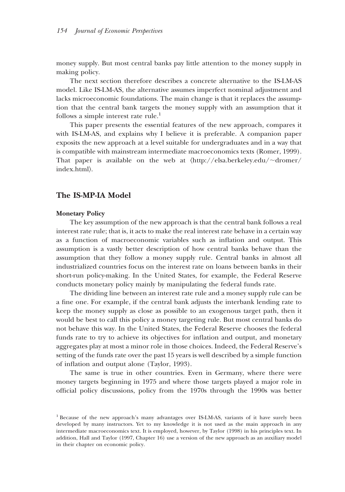money supply. But most central banks pay little attention to the money supply in making policy.

The next section therefore describes a concrete alternative to the IS-LM-AS model. Like IS-LM-AS, the alternative assumes imperfect nominal adjustment and lacks microeconomic foundations. The main change is that it replaces the assumption that the central bank targets the money supply with an assumption that it follows a simple interest rate rule.<sup>1</sup>

This paper presents the essential features of the new approach, compares it with IS-LM-AS, and explains why I believe it is preferable. A companion paper exposits the new approach at a level suitable for undergraduates and in a way that is compatible with mainstream intermediate macroeconomics texts (Romer, 1999). That paper is available on the web at  $\langle \text{http://elsa.berkeley.edu/~dromer/}) \rangle$ index.html $\lambda$ .

## **The IS-MP-IA Model**

#### **Monetary Policy**

The key assumption of the new approach is that the central bank follows a real interest rate rule; that is, it acts to make the real interest rate behave in a certain way as a function of macroeconomic variables such as inflation and output. This assumption is a vastly better description of how central banks behave than the assumption that they follow a money supply rule. Central banks in almost all industrialized countries focus on the interest rate on loans between banks in their short-run policy-making. In the United States, for example, the Federal Reserve conducts monetary policy mainly by manipulating the federal funds rate.

The dividing line between an interest rate rule and a money supply rule can be a fine one. For example, if the central bank adjusts the interbank lending rate to keep the money supply as close as possible to an exogenous target path, then it would be best to call this policy a money targeting rule. But most central banks do not behave this way. In the United States, the Federal Reserve chooses the federal funds rate to try to achieve its objectives for inflation and output, and monetary aggregates play at most a minor role in those choices. Indeed, the Federal Reserve's setting of the funds rate over the past 15 years is well described by a simple function of inflation and output alone (Taylor, 1993).

The same is true in other countries. Even in Germany, where there were money targets beginning in 1975 and where those targets played a major role in official policy discussions, policy from the 1970s through the 1990s was better

<sup>1</sup> Because of the new approach's many advantages over IS-LM-AS, variants of it have surely been developed by many instructors. Yet to my knowledge it is not used as the main approach in any intermediate macroeconomics text. It is employed, however, by Taylor (1998) in his principles text. In addition, Hall and Taylor (1997, Chapter 16) use a version of the new approach as an auxiliary model in their chapter on economic policy.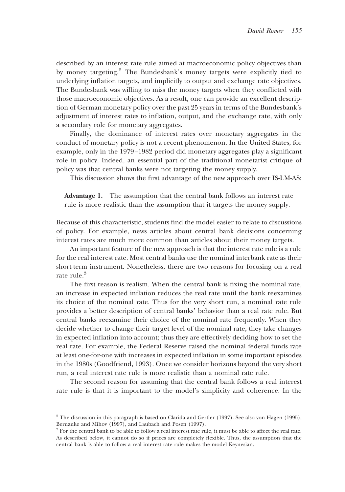described by an interest rate rule aimed at macroeconomic policy objectives than by money targeting.<sup>2</sup> The Bundesbank's money targets were explicitly tied to underlying inflation targets, and implicitly to output and exchange rate objectives. The Bundesbank was willing to miss the money targets when they conflicted with those macroeconomic objectives. As a result, one can provide an excellent description of German monetary policy over the past 25 years in terms of the Bundesbank's adjustment of interest rates to inflation, output, and the exchange rate, with only a secondary role for monetary aggregates.

Finally, the dominance of interest rates over monetary aggregates in the conduct of monetary policy is not a recent phenomenon. In the United States, for example, only in the 1979–1982 period did monetary aggregates play a significant role in policy. Indeed, an essential part of the traditional monetarist critique of policy was that central banks were not targeting the money supply.

This discussion shows the first advantage of the new approach over IS-LM-AS:

**Advantage 1.** The assumption that the central bank follows an interest rate rule is more realistic than the assumption that it targets the money supply.

Because of this characteristic, students find the model easier to relate to discussions of policy. For example, news articles about central bank decisions concerning interest rates are much more common than articles about their money targets.

An important feature of the new approach is that the interest rate rule is a rule for the real interest rate. Most central banks use the nominal interbank rate as their short-term instrument. Nonetheless, there are two reasons for focusing on a real rate rule.<sup>3</sup>

The first reason is realism. When the central bank is fixing the nominal rate, an increase in expected inflation reduces the real rate until the bank reexamines its choice of the nominal rate. Thus for the very short run, a nominal rate rule provides a better description of central banks' behavior than a real rate rule. But central banks reexamine their choice of the nominal rate frequently. When they decide whether to change their target level of the nominal rate, they take changes in expected inflation into account; thus they are effectively deciding how to set the real rate. For example, the Federal Reserve raised the nominal federal funds rate at least one-for-one with increases in expected inflation in some important episodes in the 1980s (Goodfriend, 1993). Once we consider horizons beyond the very short run, a real interest rate rule is more realistic than a nominal rate rule.

The second reason for assuming that the central bank follows a real interest rate rule is that it is important to the model's simplicity and coherence. In the

<sup>&</sup>lt;sup>2</sup> The discussion in this paragraph is based on Clarida and Gertler (1997). See also von Hagen (1995), Bernanke and Mihov (1997), and Laubach and Posen (1997).

 $3$  For the central bank to be able to follow a real interest rate rule, it must be able to affect the real rate. As described below, it cannot do so if prices are completely flexible. Thus, the assumption that the central bank is able to follow a real interest rate rule makes the model Keynesian.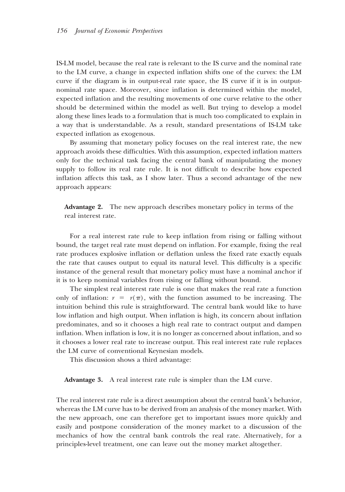IS-LM model, because the real rate is relevant to the IS curve and the nominal rate to the LM curve, a change in expected inflation shifts one of the curves: the LM curve if the diagram is in output-real rate space, the IS curve if it is in outputnominal rate space. Moreover, since inflation is determined within the model, expected inflation and the resulting movements of one curve relative to the other should be determined within the model as well. But trying to develop a model along these lines leads to a formulation that is much too complicated to explain in a way that is understandable. As a result, standard presentations of IS-LM take expected inflation as exogenous.

By assuming that monetary policy focuses on the real interest rate, the new approach avoids these difficulties. With this assumption, expected inflation matters only for the technical task facing the central bank of manipulating the money supply to follow its real rate rule. It is not difficult to describe how expected inflation affects this task, as I show later. Thus a second advantage of the new approach appears:

**Advantage 2.** The new approach describes monetary policy in terms of the real interest rate.

For a real interest rate rule to keep inflation from rising or falling without bound, the target real rate must depend on inflation. For example, fixing the real rate produces explosive inflation or deflation unless the fixed rate exactly equals the rate that causes output to equal its natural level. This difficulty is a specific instance of the general result that monetary policy must have a nominal anchor if it is to keep nominal variables from rising or falling without bound.

The simplest real interest rate rule is one that makes the real rate a function only of inflation:  $r = r(\pi)$ , with the function assumed to be increasing. The intuition behind this rule is straightforward. The central bank would like to have low inflation and high output. When inflation is high, its concern about inflation predominates, and so it chooses a high real rate to contract output and dampen inflation. When inflation is low, it is no longer as concerned about inflation, and so it chooses a lower real rate to increase output. This real interest rate rule replaces the LM curve of conventional Keynesian models.

This discussion shows a third advantage:

**Advantage 3.** A real interest rate rule is simpler than the LM curve.

The real interest rate rule is a direct assumption about the central bank's behavior, whereas the LM curve has to be derived from an analysis of the money market. With the new approach, one can therefore get to important issues more quickly and easily and postpone consideration of the money market to a discussion of the mechanics of how the central bank controls the real rate. Alternatively, for a principles-level treatment, one can leave out the money market altogether.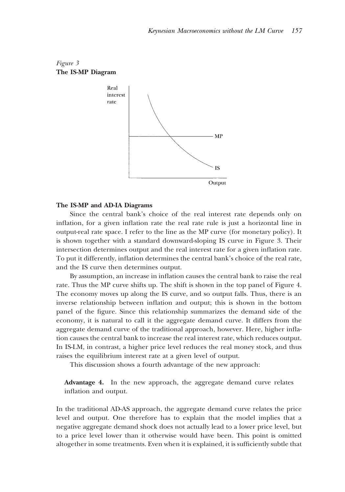## *Figure 3* **The IS-MP Diagram**



#### **The IS-MP and AD-IA Diagrams**

Since the central bank's choice of the real interest rate depends only on inflation, for a given inflation rate the real rate rule is just a horizontal line in output-real rate space. I refer to the line as the MP curve (for monetary policy). It is shown together with a standard downward-sloping IS curve in Figure 3. Their intersection determines output and the real interest rate for a given inflation rate. To put it differently, inflation determines the central bank's choice of the real rate, and the IS curve then determines output.

By assumption, an increase in inflation causes the central bank to raise the real rate. Thus the MP curve shifts up. The shift is shown in the top panel of Figure 4. The economy moves up along the IS curve, and so output falls. Thus, there is an inverse relationship between inflation and output; this is shown in the bottom panel of the figure. Since this relationship summarizes the demand side of the economy, it is natural to call it the aggregate demand curve. It differs from the aggregate demand curve of the traditional approach, however. Here, higher inflation causes the central bank to increase the real interest rate, which reduces output. In IS-LM, in contrast, a higher price level reduces the real money stock, and thus raises the equilibrium interest rate at a given level of output.

This discussion shows a fourth advantage of the new approach:

**Advantage 4.** In the new approach, the aggregate demand curve relates inflation and output.

In the traditional AD-AS approach, the aggregate demand curve relates the price level and output. One therefore has to explain that the model implies that a negative aggregate demand shock does not actually lead to a lower price level, but to a price level lower than it otherwise would have been. This point is omitted altogether in some treatments. Even when it is explained, it is sufficiently subtle that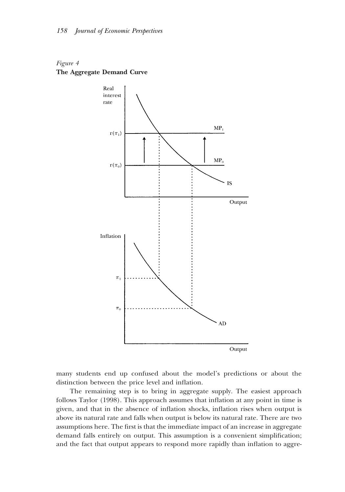## *Figure 4* **The Aggregate Demand Curve**



many students end up confused about the model's predictions or about the distinction between the price level and inflation.

The remaining step is to bring in aggregate supply. The easiest approach follows Taylor (1998). This approach assumes that inflation at any point in time is given, and that in the absence of inflation shocks, inflation rises when output is above its natural rate and falls when output is below its natural rate. There are two assumptions here. The first is that the immediate impact of an increase in aggregate demand falls entirely on output. This assumption is a convenient simplification; and the fact that output appears to respond more rapidly than inflation to aggre-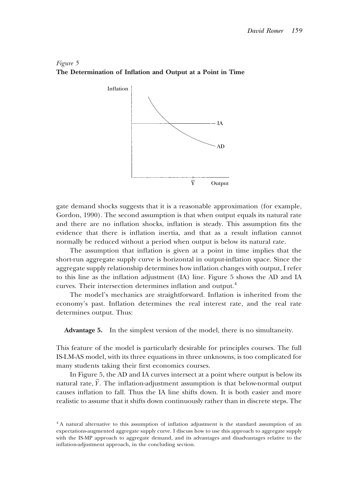



gate demand shocks suggests that it is a reasonable approximation (for example, Gordon, 1990). The second assumption is that when output equals its natural rate and there are no inflation shocks, inflation is steady. This assumption fits the evidence that there is inflation inertia, and that as a result inflation cannot normally be reduced without a period when output is below its natural rate.

The assumption that inflation is given at a point in time implies that the short-run aggregate supply curve is horizontal in output-inflation space. Since the aggregate supply relationship determines how inflation changes with output, I refer to this line as the inflation adjustment (IA) line. Figure 5 shows the AD and IA curves. Their intersection determines inflation and output.<sup>4</sup>

The model's mechanics are straightforward. Inflation is inherited from the economy's past. Inflation determines the real interest rate, and the real rate determines output. Thus:

**Advantage 5.** In the simplest version of the model, there is no simultaneity.

This feature of the model is particularly desirable for principles courses. The full IS-LM-AS model, with its three equations in three unknowns, is too complicated for many students taking their first economics courses.

In Figure 5, the AD and IA curves intersect at a point where output is below its natural rate,*Y .* The inflation-adjustment assumption is that below-normal output causes inflation to fall. Thus the IA line shifts down. It is both easier and more realistic to assume that it shifts down continuously rather than in discrete steps. The

<sup>&</sup>lt;sup>4</sup> A natural alternative to this assumption of inflation adjustment is the standard assumption of an expectations-augmented aggregate supply curve. I discuss how to use this approach to aggregate supply with the IS-MP approach to aggregate demand, and its advantages and disadvantages relative to the inflation-adjustment approach, in the concluding section.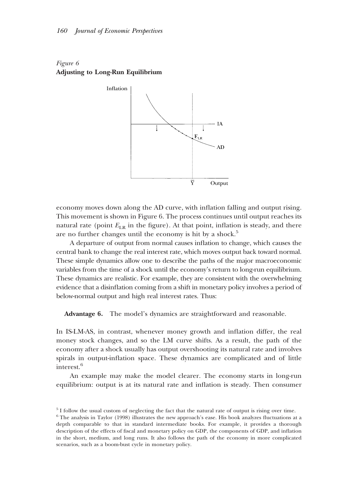## *Figure 6* **Adjusting to Long-Run Equilibrium**



economy moves down along the AD curve, with inflation falling and output rising. This movement is shown in Figure 6. The process continues until output reaches its natural rate (point  $E_{LR}$  in the figure). At that point, inflation is steady, and there are no further changes until the economy is hit by a shock.<sup>5</sup>

A departure of output from normal causes inflation to change, which causes the central bank to change the real interest rate, which moves output back toward normal. These simple dynamics allow one to describe the paths of the major macroeconomic variables from the time of a shock until the economy's return to long-run equilibrium. These dynamics are realistic. For example, they are consistent with the overwhelming evidence that a disinflation coming from a shift in monetary policy involves a period of below-normal output and high real interest rates. Thus:

**Advantage 6.** The model's dynamics are straightforward and reasonable.

In IS-LM-AS, in contrast, whenever money growth and inflation differ, the real money stock changes, and so the LM curve shifts. As a result, the path of the economy after a shock usually has output overshooting its natural rate and involves spirals in output-inflation space. These dynamics are complicated and of little interest.6

An example may make the model clearer. The economy starts in long-run equilibrium: output is at its natural rate and inflation is steady. Then consumer

<sup>&</sup>lt;sup>5</sup> I follow the usual custom of neglecting the fact that the natural rate of output is rising over time.

<sup>6</sup> The analysis in Taylor (1998) illustrates the new approach's ease. His book analyzes fluctuations at a depth comparable to that in standard intermediate books. For example, it provides a thorough description of the effects of fiscal and monetary policy on GDP, the components of GDP, and inflation in the short, medium, and long runs. It also follows the path of the economy in more complicated scenarios, such as a boom-bust cycle in monetary policy.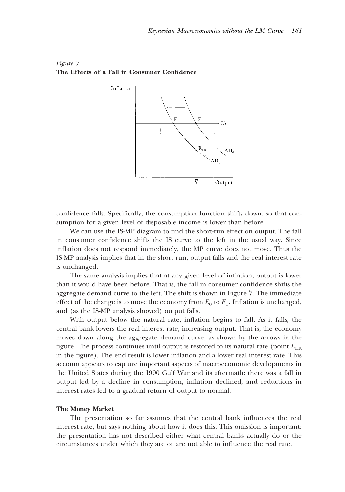

## *Figure 7* **The Effects of a Fall in Consumer Confidence**

confidence falls. Specifically, the consumption function shifts down, so that consumption for a given level of disposable income is lower than before.

We can use the IS-MP diagram to find the short-run effect on output. The fall in consumer confidence shifts the IS curve to the left in the usual way. Since inflation does not respond immediately, the MP curve does not move. Thus the IS-MP analysis implies that in the short run, output falls and the real interest rate is unchanged.

The same analysis implies that at any given level of inflation, output is lower than it would have been before. That is, the fall in consumer confidence shifts the aggregate demand curve to the left. The shift is shown in Figure 7. The immediate effect of the change is to move the economy from  $E_0$  to  $E_1$ . Inflation is unchanged, and (as the IS-MP analysis showed) output falls.

With output below the natural rate, inflation begins to fall. As it falls, the central bank lowers the real interest rate, increasing output. That is, the economy moves down along the aggregate demand curve, as shown by the arrows in the figure. The process continues until output is restored to its natural rate (point  $E_{LR}$ ) in the figure). The end result is lower inflation and a lower real interest rate. This account appears to capture important aspects of macroeconomic developments in the United States during the 1990 Gulf War and its aftermath: there was a fall in output led by a decline in consumption, inflation declined, and reductions in interest rates led to a gradual return of output to normal.

#### **The Money Market**

The presentation so far assumes that the central bank influences the real interest rate, but says nothing about how it does this. This omission is important: the presentation has not described either what central banks actually do or the circumstances under which they are or are not able to influence the real rate.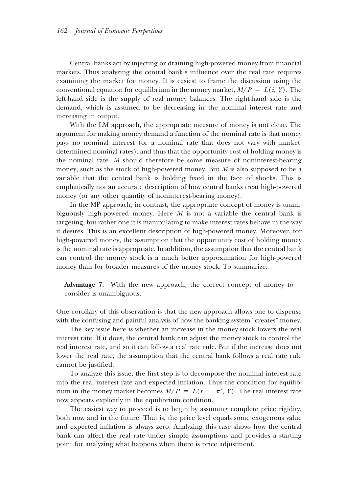Central banks act by injecting or draining high-powered money from financial markets. Thus analyzing the central bank's influence over the real rate requires examining the market for money. It is easiest to frame the discussion using the conventional equation for equilibrium in the money market,  $M/P = L(i, Y)$ . The left-hand side is the supply of real money balances. The right-hand side is the demand, which is assumed to be decreasing in the nominal interest rate and increasing in output.

With the LM approach, the appropriate measure of money is not clear. The argument for making money demand a function of the nominal rate is that money pays no nominal interest (or a nominal rate that does not vary with marketdetermined nominal rates), and thus that the opportunity cost of holding money is the nominal rate. *M* should therefore be some measure of noninterest-bearing money, such as the stock of high-powered money. But *M* is also supposed to be a variable that the central bank is holding fixed in the face of shocks. This is emphatically not an accurate description of how central banks treat high-powered money (or any other quantity of noninterest-bearing money).

In the MP approach, in contrast, the appropriate concept of money is unambiguously high-powered money. Here *M* is not a variable the central bank is targeting, but rather one it is manipulating to make interest rates behave in the way it desires. This is an excellent description of high-powered money. Moreover, for high-powered money, the assumption that the opportunity cost of holding money is the nominal rate is appropriate. In addition, the assumption that the central bank can control the money stock is a much better approximation for high-powered money than for broader measures of the money stock. To summarize:

**Advantage 7.** With the new approach, the correct concept of money to consider is unambiguous.

One corollary of this observation is that the new approach allows one to dispense with the confusing and painful analysis of how the banking system "creates" money.

The key issue here is whether an increase in the money stock lowers the real interest rate. If it does, the central bank can adjust the money stock to control the real interest rate, and so it can follow a real rate rule. But if the increase does not lower the real rate, the assumption that the central bank follows a real rate rule cannot be justified.

To analyze this issue, the first step is to decompose the nominal interest rate into the real interest rate and expected inflation. Thus the condition for equilibrium in the money market becomes  $M/P = L(r + \pi^e, Y)$ . The real interest rate now appears explicitly in the equilibrium condition.

The easiest way to proceed is to begin by assuming complete price rigidity, both now and in the future. That is, the price level equals some exogenous value and expected inflation is always zero. Analyzing this case shows how the central bank can affect the real rate under simple assumptions and provides a starting point for analyzing what happens when there is price adjustment.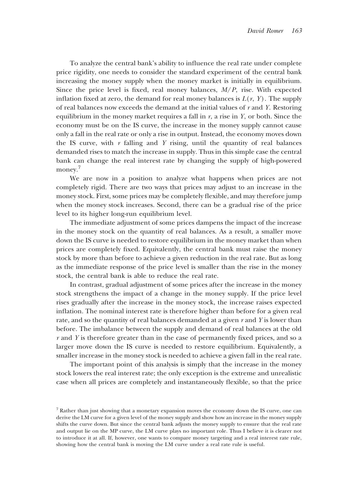To analyze the central bank's ability to influence the real rate under complete price rigidity, one needs to consider the standard experiment of the central bank increasing the money supply when the money market is initially in equilibrium. Since the price level is fixed, real money balances, *M*/*P*, rise. With expected inflation fixed at zero, the demand for real money balances is  $L(r, Y)$ . The supply of real balances now exceeds the demand at the initial values of *r* and *Y*. Restoring equilibrium in the money market requires a fall in *r*, a rise in *Y*, or both. Since the economy must be on the IS curve, the increase in the money supply cannot cause only a fall in the real rate or only a rise in output. Instead, the economy moves down the IS curve, with  $r$  falling and  $Y$  rising, until the quantity of real balances demanded rises to match the increase in supply. Thus in this simple case the central bank can change the real interest rate by changing the supply of high-powered money.<sup>7</sup>

We are now in a position to analyze what happens when prices are not completely rigid. There are two ways that prices may adjust to an increase in the money stock. First, some prices may be completely flexible, and may therefore jump when the money stock increases. Second, there can be a gradual rise of the price level to its higher long-run equilibrium level.

The immediate adjustment of some prices dampens the impact of the increase in the money stock on the quantity of real balances. As a result, a smaller move down the IS curve is needed to restore equilibrium in the money market than when prices are completely fixed. Equivalently, the central bank must raise the money stock by more than before to achieve a given reduction in the real rate. But as long as the immediate response of the price level is smaller than the rise in the money stock, the central bank is able to reduce the real rate.

In contrast, gradual adjustment of some prices after the increase in the money stock strengthens the impact of a change in the money supply. If the price level rises gradually after the increase in the money stock, the increase raises expected inflation. The nominal interest rate is therefore higher than before for a given real rate, and so the quantity of real balances demanded at a given *r* and *Y* is lower than before. The imbalance between the supply and demand of real balances at the old *r* and *Y* is therefore greater than in the case of permanently fixed prices, and so a larger move down the IS curve is needed to restore equilibrium. Equivalently, a smaller increase in the money stock is needed to achieve a given fall in the real rate.

The important point of this analysis is simply that the increase in the money stock lowers the real interest rate; the only exception is the extreme and unrealistic case when all prices are completely and instantaneously flexible, so that the price

<sup>&</sup>lt;sup>7</sup> Rather than just showing that a monetary expansion moves the economy down the IS curve, one can derive the LM curve for a given level of the money supply and show how an increase in the money supply shifts the curve down. But since the central bank adjusts the money supply to ensure that the real rate and output lie on the MP curve, the LM curve plays no important role. Thus I believe it is clearer not to introduce it at all. If, however, one wants to compare money targeting and a real interest rate rule, showing how the central bank is moving the LM curve under a real rate rule is useful.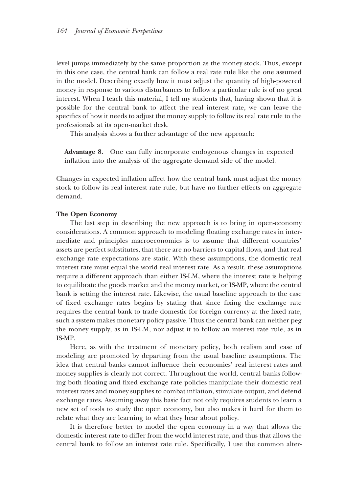level jumps immediately by the same proportion as the money stock. Thus, except in this one case, the central bank can follow a real rate rule like the one assumed in the model. Describing exactly how it must adjust the quantity of high-powered money in response to various disturbances to follow a particular rule is of no great interest. When I teach this material, I tell my students that, having shown that it is possible for the central bank to affect the real interest rate, we can leave the specifics of how it needs to adjust the money supply to follow its real rate rule to the professionals at its open-market desk.

This analysis shows a further advantage of the new approach:

**Advantage 8.** One can fully incorporate endogenous changes in expected inflation into the analysis of the aggregate demand side of the model.

Changes in expected inflation affect how the central bank must adjust the money stock to follow its real interest rate rule, but have no further effects on aggregate demand.

#### **The Open Economy**

The last step in describing the new approach is to bring in open-economy considerations. A common approach to modeling floating exchange rates in intermediate and principles macroeconomics is to assume that different countries' assets are perfect substitutes, that there are no barriers to capital flows, and that real exchange rate expectations are static. With these assumptions, the domestic real interest rate must equal the world real interest rate. As a result, these assumptions require a different approach than either IS-LM, where the interest rate is helping to equilibrate the goods market and the money market, or IS-MP, where the central bank is setting the interest rate. Likewise, the usual baseline approach to the case of fixed exchange rates begins by stating that since fixing the exchange rate requires the central bank to trade domestic for foreign currency at the fixed rate, such a system makes monetary policy passive. Thus the central bank can neither peg the money supply, as in IS-LM, nor adjust it to follow an interest rate rule, as in IS-MP.

Here, as with the treatment of monetary policy, both realism and ease of modeling are promoted by departing from the usual baseline assumptions. The idea that central banks cannot influence their economies' real interest rates and money supplies is clearly not correct. Throughout the world, central banks following both floating and fixed exchange rate policies manipulate their domestic real interest rates and money supplies to combat inflation, stimulate output, and defend exchange rates. Assuming away this basic fact not only requires students to learn a new set of tools to study the open economy, but also makes it hard for them to relate what they are learning to what they hear about policy.

It is therefore better to model the open economy in a way that allows the domestic interest rate to differ from the world interest rate, and thus that allows the central bank to follow an interest rate rule. Specifically, I use the common alter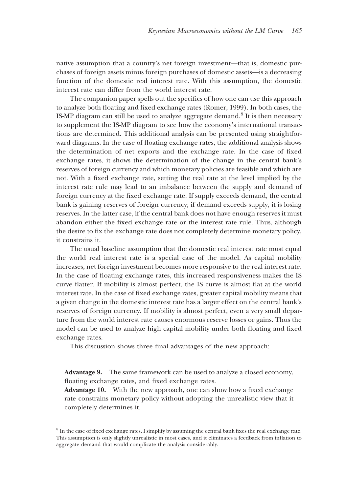native assumption that a country's net foreign investment—that is, domestic purchases of foreign assets minus foreign purchases of domestic assets—is a decreasing function of the domestic real interest rate. With this assumption, the domestic interest rate can differ from the world interest rate.

The companion paper spells out the specifics of how one can use this approach to analyze both floating and fixed exchange rates (Romer, 1999). In both cases, the IS-MP diagram can still be used to analyze aggregate demand.<sup>8</sup> It is then necessary to supplement the IS-MP diagram to see how the economy's international transactions are determined. This additional analysis can be presented using straightforward diagrams. In the case of floating exchange rates, the additional analysis shows the determination of net exports and the exchange rate. In the case of fixed exchange rates, it shows the determination of the change in the central bank's reserves of foreign currency and which monetary policies are feasible and which are not. With a fixed exchange rate, setting the real rate at the level implied by the interest rate rule may lead to an imbalance between the supply and demand of foreign currency at the fixed exchange rate. If supply exceeds demand, the central bank is gaining reserves of foreign currency; if demand exceeds supply, it is losing reserves. In the latter case, if the central bank does not have enough reserves it must abandon either the fixed exchange rate or the interest rate rule. Thus, although the desire to fix the exchange rate does not completely determine monetary policy, it constrains it.

The usual baseline assumption that the domestic real interest rate must equal the world real interest rate is a special case of the model. As capital mobility increases, net foreign investment becomes more responsive to the real interest rate. In the case of floating exchange rates, this increased responsiveness makes the IS curve flatter. If mobility is almost perfect, the IS curve is almost flat at the world interest rate. In the case of fixed exchange rates, greater capital mobility means that a given change in the domestic interest rate has a larger effect on the central bank's reserves of foreign currency. If mobility is almost perfect, even a very small departure from the world interest rate causes enormous reserve losses or gains. Thus the model can be used to analyze high capital mobility under both floating and fixed exchange rates.

This discussion shows three final advantages of the new approach:

**Advantage 9.** The same framework can be used to analyze a closed economy, floating exchange rates, and fixed exchange rates.

**Advantage 10.** With the new approach, one can show how a fixed exchange rate constrains monetary policy without adopting the unrealistic view that it completely determines it.

<sup>8</sup> In the case of fixed exchange rates, I simplify by assuming the central bank fixes the real exchange rate. This assumption is only slightly unrealistic in most cases, and it eliminates a feedback from inflation to aggregate demand that would complicate the analysis considerably.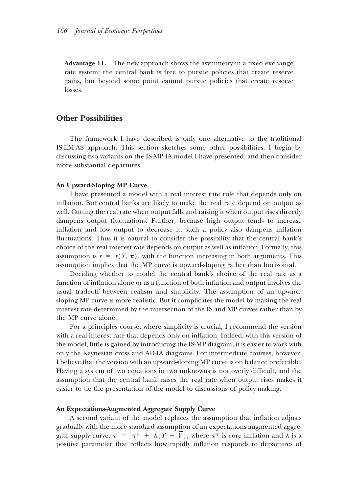**Advantage 11.** The new approach shows the asymmetry in a fixed exchange rate system: the central bank is free to pursue policies that create reserve gains, but beyond some point cannot pursue policies that create reserve losses.

## **Other Possibilities**

The framework I have described is only one alternative to the traditional IS-LM-AS approach. This section sketches some other possibilities. I begin by discussing two variants on the IS-MP-IA model I have presented, and then consider more substantial departures.

#### **An Upward-Sloping MP Curve**

I have presented a model with a real interest rate rule that depends only on inflation. But central banks are likely to make the real rate depend on output as well. Cutting the real rate when output falls and raising it when output rises directly dampens output fluctuations. Further, because high output tends to increase inflation and low output to decrease it, such a policy also dampens inflation fluctuations. Thus it is natural to consider the possibility that the central bank's choice of the real interest rate depends on output as well as inflation. Formally, this assumption is  $r = r(Y, \pi)$ , with the function increasing in both arguments. This assumption implies that the MP curve is upward-sloping rather than horizontal.

Deciding whether to model the central bank's choice of the real rate as a function of inflation alone or as a function of both inflation and output involves the usual tradeoff between realism and simplicity. The assumption of an upwardsloping MP curve is more realistic. But it complicates the model by making the real interest rate determined by the intersection of the IS and MP curves rather than by the MP curve alone.

For a principles course, where simplicity is crucial, I recommend the version with a real interest rate that depends only on inflation. Indeed, with this version of the model, little is gained by introducing the IS-MP diagram; it is easier to work with only the Keynesian cross and AD-IA diagrams. For intermediate courses, however, I believe that the version with an upward-sloping MP curve is on balance preferable. Having a system of two equations in two unknowns is not overly difficult, and the assumption that the central bank raises the real rate when output rises makes it easier to tie the presentation of the model to discussions of policy-making.

#### **An Expectations-Augmented Aggregate Supply Curve**

A second variant of the model replaces the assumption that inflation adjusts gradually with the more standard assumption of an expectations-augmented aggregate supply curve:  $\pi = \pi^* + \lambda [Y - Y]$ , where  $\pi^*$  is core inflation and  $\lambda$  is a positive parameter that reflects how rapidly inflation responds to departures of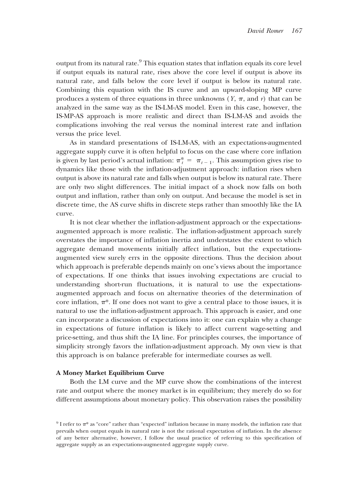output from its natural rate.<sup>9</sup> This equation states that inflation equals its core level if output equals its natural rate, rises above the core level if output is above its natural rate, and falls below the core level if output is below its natural rate. Combining this equation with the IS curve and an upward-sloping MP curve produces a system of three equations in three unknowns  $(Y, \pi, \text{ and } r)$  that can be analyzed in the same way as the IS-LM-AS model. Even in this case, however, the IS-MP-AS approach is more realistic and direct than IS-LM-AS and avoids the complications involving the real versus the nominal interest rate and inflation versus the price level.

As in standard presentations of IS-LM-AS, with an expectations-augmented aggregate supply curve it is often helpful to focus on the case where core inflation is given by last period's actual inflation:  $\pi^* = \pi_{t-1}$ . This assumption gives rise to dynamics like those with the inflation-adjustment approach: inflation rises when output is above its natural rate and falls when output is below its natural rate. There are only two slight differences. The initial impact of a shock now falls on both output and inflation, rather than only on output. And because the model is set in discrete time, the AS curve shifts in discrete steps rather than smoothly like the IA curve.

It is not clear whether the inflation-adjustment approach or the expectationsaugmented approach is more realistic. The inflation-adjustment approach surely overstates the importance of inflation inertia and understates the extent to which aggregate demand movements initially affect inflation, but the expectationsaugmented view surely errs in the opposite directions. Thus the decision about which approach is preferable depends mainly on one's views about the importance of expectations. If one thinks that issues involving expectations are crucial to understanding short-run fluctuations, it is natural to use the expectationsaugmented approach and focus on alternative theories of the determination of core inflation,  $\pi^*$ . If one does not want to give a central place to those issues, it is natural to use the inflation-adjustment approach. This approach is easier, and one can incorporate a discussion of expectations into it: one can explain why a change in expectations of future inflation is likely to affect current wage-setting and price-setting, and thus shift the IA line. For principles courses, the importance of simplicity strongly favors the inflation-adjustment approach. My own view is that this approach is on balance preferable for intermediate courses as well.

#### **A Money Market Equilibrium Curve**

Both the LM curve and the MP curve show the combinations of the interest rate and output where the money market is in equilibrium; they merely do so for different assumptions about monetary policy. This observation raises the possibility

 $9$  I refer to  $\pi^*$  as "core" rather than "expected" inflation because in many models, the inflation rate that prevails when output equals its natural rate is not the rational expectation of inflation. In the absence of any better alternative, however, I follow the usual practice of referring to this specification of aggregate supply as an expectations-augmented aggregate supply curve.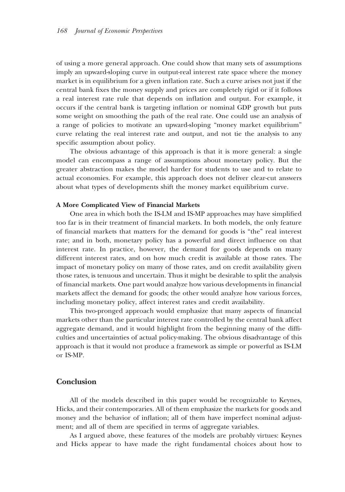of using a more general approach. One could show that many sets of assumptions imply an upward-sloping curve in output-real interest rate space where the money market is in equilibrium for a given inflation rate. Such a curve arises not just if the central bank fixes the money supply and prices are completely rigid or if it follows a real interest rate rule that depends on inflation and output. For example, it occurs if the central bank is targeting inflation or nominal GDP growth but puts some weight on smoothing the path of the real rate. One could use an analysis of a range of policies to motivate an upward-sloping "money market equilibrium" curve relating the real interest rate and output, and not tie the analysis to any specific assumption about policy.

The obvious advantage of this approach is that it is more general: a single model can encompass a range of assumptions about monetary policy. But the greater abstraction makes the model harder for students to use and to relate to actual economies. For example, this approach does not deliver clear-cut answers about what types of developments shift the money market equilibrium curve.

#### **A More Complicated View of Financial Markets**

One area in which both the IS-LM and IS-MP approaches may have simplified too far is in their treatment of financial markets. In both models, the only feature of financial markets that matters for the demand for goods is "the" real interest rate; and in both, monetary policy has a powerful and direct influence on that interest rate. In practice, however, the demand for goods depends on many different interest rates, and on how much credit is available at those rates. The impact of monetary policy on many of those rates, and on credit availability given those rates, is tenuous and uncertain. Thus it might be desirable to split the analysis of financial markets. One part would analyze how various developments in financial markets affect the demand for goods; the other would analyze how various forces, including monetary policy, affect interest rates and credit availability.

This two-pronged approach would emphasize that many aspects of financial markets other than the particular interest rate controlled by the central bank affect aggregate demand, and it would highlight from the beginning many of the difficulties and uncertainties of actual policy-making. The obvious disadvantage of this approach is that it would not produce a framework as simple or powerful as IS-LM or IS-MP.

## **Conclusion**

All of the models described in this paper would be recognizable to Keynes, Hicks, and their contemporaries. All of them emphasize the markets for goods and money and the behavior of inflation; all of them have imperfect nominal adjustment; and all of them are specified in terms of aggregate variables.

As I argued above, these features of the models are probably virtues: Keynes and Hicks appear to have made the right fundamental choices about how to